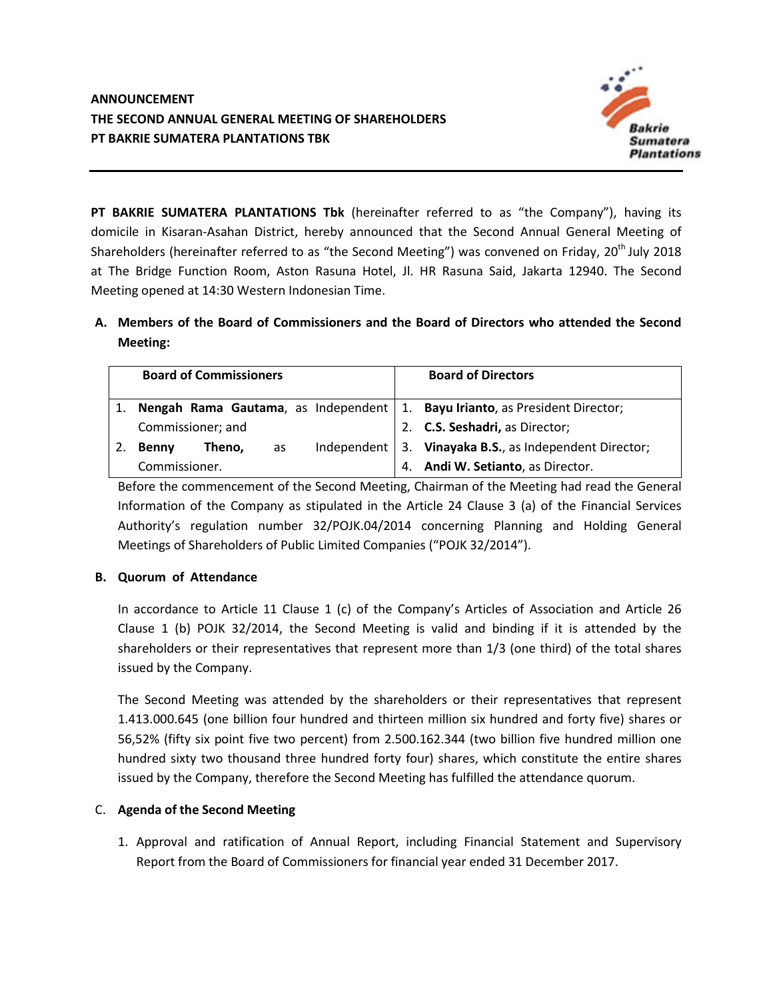

**PT BAKRIE SUMATERA PLANTATIONS Tbk** (hereinafter referred to as "the Company"), having its domicile in Kisaran-Asahan District, hereby announced that the Second Annual General Meeting of Shareholders (hereinafter referred to as "the Second Meeting") was convened on Friday, 20<sup>th</sup> July 2018 at The Bridge Function Room, Aston Rasuna Hotel, Jl. HR Rasuna Said, Jakarta 12940. The Second Meeting opened at 14:30 Western Indonesian Time.

## **A. Members of the Board of Commissioners and the Board of Directors who attended the Second Meeting:**

|               | <b>Board of Commissioners</b> |    |    | <b>Board of Directors</b>                                                     |  |  |
|---------------|-------------------------------|----|----|-------------------------------------------------------------------------------|--|--|
|               |                               |    |    | Nengah Rama Gautama, as Independent   1. Bayu Irianto, as President Director; |  |  |
|               | Commissioner; and             |    | 2. | <b>C.S. Seshadri, as Director;</b>                                            |  |  |
| <b>Benny</b>  | Theno,                        | as |    | Independent $\vert$ 3. Vinayaka B.S., as Independent Director;                |  |  |
| Commissioner. |                               |    |    | 4. Andi W. Setianto, as Director.                                             |  |  |

Before the commencement of the Second Meeting, Chairman of the Meeting had read the General Information of the Company as stipulated in the Article 24 Clause 3 (a) of the Financial Services Authority's regulation number 32/POJK.04/2014 concerning Planning and Holding General Meetings of Shareholders of Public Limited Companies ("POJK 32/2014").

## **B. Quorum of Attendance**

In accordance to Article 11 Clause 1 (c) of the Company's Articles of Association and Article 26 Clause 1 (b) POJK 32/2014, the Second Meeting is valid and binding if it is attended by the shareholders or their representatives that represent more than 1/3 (one third) of the total shares issued by the Company.

The Second Meeting was attended by the shareholders or their representatives that represent 1.413.000.645 (one billion four hundred and thirteen million six hundred and forty five) shares or 56,52% (fifty six point five two percent) from 2.500.162.344 (two billion five hundred million one hundred sixty two thousand three hundred forty four) shares, which constitute the entire shares issued by the Company, therefore the Second Meeting has fulfilled the attendance quorum.

## C. **Agenda of the Second Meeting**

1. Approval and ratification of Annual Report, including Financial Statement and Supervisory Report from the Board of Commissioners for financial year ended 31 December 2017.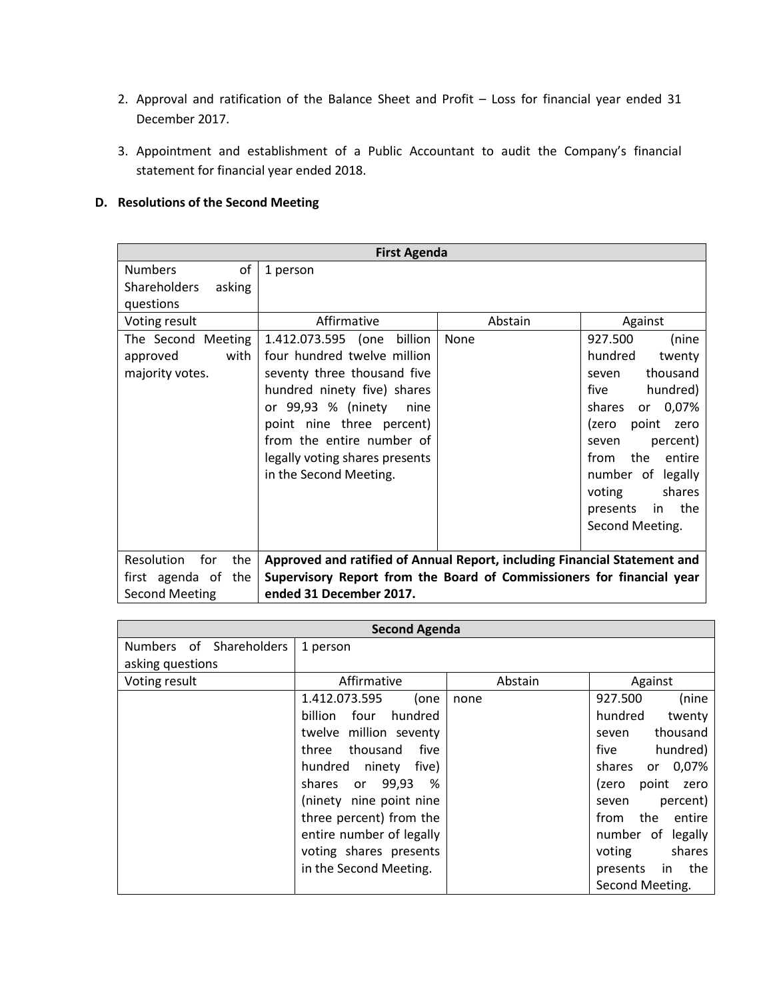- 2. Approval and ratification of the Balance Sheet and Profit Loss for financial year ended 31 December 2017.
- 3. Appointment and establishment of a Public Accountant to audit the Company's financial statement for financial year ended 2018.

## **D. Resolutions of the Second Meeting**

| <b>First Agenda</b>           |                                                                           |         |                        |  |  |  |
|-------------------------------|---------------------------------------------------------------------------|---------|------------------------|--|--|--|
| of<br><b>Numbers</b>          | 1 person                                                                  |         |                        |  |  |  |
| <b>Shareholders</b><br>asking |                                                                           |         |                        |  |  |  |
| questions                     |                                                                           |         |                        |  |  |  |
| Voting result                 | Affirmative                                                               | Abstain | Against                |  |  |  |
| The Second Meeting            | 1.412.073.595 (one billion                                                | None    | 927.500<br>(nine       |  |  |  |
| with<br>approved              | four hundred twelve million                                               |         | hundred<br>twenty      |  |  |  |
| majority votes.               | seventy three thousand five                                               |         | thousand<br>seven      |  |  |  |
|                               | hundred ninety five) shares                                               |         | hundred)<br>five       |  |  |  |
|                               | or 99,93 % (ninety<br>nine                                                |         | 0,07%<br>shares<br>or  |  |  |  |
|                               | point nine three percent)                                                 |         | point<br>(zero<br>zero |  |  |  |
|                               | from the entire number of                                                 |         | percent)<br>seven      |  |  |  |
|                               | legally voting shares presents                                            |         | the<br>entire<br>from  |  |  |  |
|                               | in the Second Meeting.                                                    |         | number of legally      |  |  |  |
|                               |                                                                           |         | shares<br>voting       |  |  |  |
|                               |                                                                           |         | the<br>in<br>presents  |  |  |  |
|                               |                                                                           |         | Second Meeting.        |  |  |  |
|                               |                                                                           |         |                        |  |  |  |
| Resolution<br>for<br>the      | Approved and ratified of Annual Report, including Financial Statement and |         |                        |  |  |  |
| the<br>first agenda of        | Supervisory Report from the Board of Commissioners for financial year     |         |                        |  |  |  |
| <b>Second Meeting</b>         | ended 31 December 2017.                                                   |         |                        |  |  |  |

| <b>Second Agenda</b>    |                            |         |                        |  |  |
|-------------------------|----------------------------|---------|------------------------|--|--|
| Numbers of Shareholders | 1 person                   |         |                        |  |  |
| asking questions        |                            |         |                        |  |  |
| Voting result           | Affirmative                | Abstain | Against                |  |  |
|                         | 1.412.073.595<br>(one      | none    | (nine<br>927.500       |  |  |
|                         | billion<br>hundred<br>four |         | hundred<br>twenty      |  |  |
|                         | twelve million seventy     |         | thousand<br>seven      |  |  |
|                         | thousand<br>three<br>five  |         | hundred)<br>five       |  |  |
|                         | hundred ninety<br>five)    |         | 0,07%<br>shares<br>or  |  |  |
|                         | shares or 99,93<br>- %     |         | point<br>(zero<br>zero |  |  |
|                         | (ninety nine point nine    |         | percent)<br>seven      |  |  |
|                         | three percent) from the    |         | the<br>from<br>entire  |  |  |
|                         | entire number of legally   |         | number of legally      |  |  |
|                         | voting shares presents     |         | shares<br>voting       |  |  |
|                         | in the Second Meeting.     |         | the<br>presents<br>in. |  |  |
|                         |                            |         | Second Meeting.        |  |  |